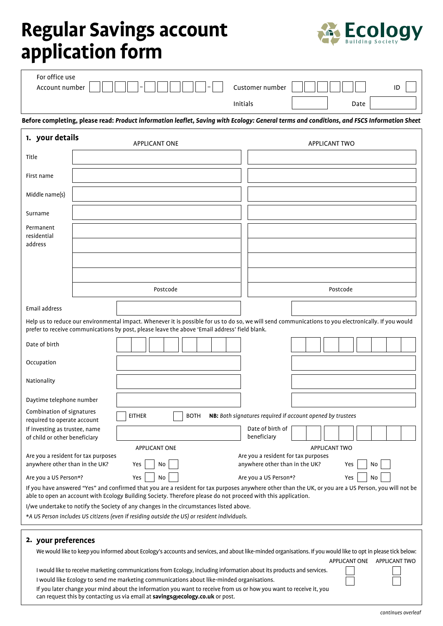## **Regular Savings account application form**



| 1. your details                  | <b>APPLICANT ONE</b>                                                                                                                       |                 | <b>APPLICANT TWO</b> |    |
|----------------------------------|--------------------------------------------------------------------------------------------------------------------------------------------|-----------------|----------------------|----|
|                                  | Before completing, please read: Product information leaflet, Saving with Ecology: General terms and conditions, and FSCS Information Sheet |                 |                      |    |
|                                  |                                                                                                                                            | Initials        | Date                 |    |
| For office use<br>Account number | $\overline{\phantom{0}}$<br>$-$                                                                                                            | Customer number |                      | ID |

|                                                                                                                                                                                                                                                                        |                                                                                                                                                                                                                    |  |               | <b>APPLICANT ONE</b> |  |             |  |  |                                                                       |  |  | <b>APPLICANT TWO</b> |    |                      |
|------------------------------------------------------------------------------------------------------------------------------------------------------------------------------------------------------------------------------------------------------------------------|--------------------------------------------------------------------------------------------------------------------------------------------------------------------------------------------------------------------|--|---------------|----------------------|--|-------------|--|--|-----------------------------------------------------------------------|--|--|----------------------|----|----------------------|
| Title                                                                                                                                                                                                                                                                  |                                                                                                                                                                                                                    |  |               |                      |  |             |  |  |                                                                       |  |  |                      |    |                      |
| First name                                                                                                                                                                                                                                                             |                                                                                                                                                                                                                    |  |               |                      |  |             |  |  |                                                                       |  |  |                      |    |                      |
| Middle name(s)                                                                                                                                                                                                                                                         |                                                                                                                                                                                                                    |  |               |                      |  |             |  |  |                                                                       |  |  |                      |    |                      |
| Surname                                                                                                                                                                                                                                                                |                                                                                                                                                                                                                    |  |               |                      |  |             |  |  |                                                                       |  |  |                      |    |                      |
| Permanent<br>residential<br>address                                                                                                                                                                                                                                    |                                                                                                                                                                                                                    |  |               |                      |  |             |  |  |                                                                       |  |  |                      |    |                      |
|                                                                                                                                                                                                                                                                        |                                                                                                                                                                                                                    |  |               |                      |  |             |  |  |                                                                       |  |  |                      |    |                      |
|                                                                                                                                                                                                                                                                        |                                                                                                                                                                                                                    |  |               | Postcode             |  |             |  |  |                                                                       |  |  | Postcode             |    |                      |
|                                                                                                                                                                                                                                                                        |                                                                                                                                                                                                                    |  |               |                      |  |             |  |  |                                                                       |  |  |                      |    |                      |
| Email address                                                                                                                                                                                                                                                          |                                                                                                                                                                                                                    |  |               |                      |  |             |  |  |                                                                       |  |  |                      |    |                      |
| Help us to reduce our environmental impact. Whenever it is possible for us to do so, we will send communications to you electronically. If you would<br>prefer to receive communications by post, please leave the above 'Email address' field blank.                  |                                                                                                                                                                                                                    |  |               |                      |  |             |  |  |                                                                       |  |  |                      |    |                      |
| Date of birth                                                                                                                                                                                                                                                          |                                                                                                                                                                                                                    |  |               |                      |  |             |  |  |                                                                       |  |  |                      |    |                      |
| Occupation                                                                                                                                                                                                                                                             |                                                                                                                                                                                                                    |  |               |                      |  |             |  |  |                                                                       |  |  |                      |    |                      |
| Nationality                                                                                                                                                                                                                                                            |                                                                                                                                                                                                                    |  |               |                      |  |             |  |  |                                                                       |  |  |                      |    |                      |
| Daytime telephone number                                                                                                                                                                                                                                               |                                                                                                                                                                                                                    |  |               |                      |  |             |  |  |                                                                       |  |  |                      |    |                      |
| Combination of signatures<br>required to operate account                                                                                                                                                                                                               |                                                                                                                                                                                                                    |  | <b>EITHER</b> |                      |  | <b>BOTH</b> |  |  | NB: Both signatures required if account opened by trustees            |  |  |                      |    |                      |
| If investing as trustee, name<br>of child or other beneficiary                                                                                                                                                                                                         |                                                                                                                                                                                                                    |  |               |                      |  |             |  |  | Date of birth of<br>beneficiary                                       |  |  |                      |    |                      |
|                                                                                                                                                                                                                                                                        |                                                                                                                                                                                                                    |  |               | <b>APPLICANT ONE</b> |  |             |  |  |                                                                       |  |  | <b>APPLICANT TWO</b> |    |                      |
| Are you a resident for tax purposes<br>anywhere other than in the UK?                                                                                                                                                                                                  |                                                                                                                                                                                                                    |  | Yes           | No                   |  |             |  |  | Are you a resident for tax purposes<br>anywhere other than in the UK? |  |  | Yes                  | No |                      |
| Are you a US Person*?                                                                                                                                                                                                                                                  |                                                                                                                                                                                                                    |  | Yes           | No                   |  |             |  |  | Are you a US Person*?                                                 |  |  | Yes                  | No |                      |
| If you have answered "Yes" and confirmed that you are a resident for tax purposes anywhere other than the UK, or you are a US Person, you will not be<br>able to open an account with Ecology Building Society. Therefore please do not proceed with this application. |                                                                                                                                                                                                                    |  |               |                      |  |             |  |  |                                                                       |  |  |                      |    |                      |
| I/we undertake to notify the Society of any changes in the circumstances listed above.                                                                                                                                                                                 |                                                                                                                                                                                                                    |  |               |                      |  |             |  |  |                                                                       |  |  |                      |    |                      |
| *A US Person includes US citizens (even if residing outside the US) or resident individuals.                                                                                                                                                                           |                                                                                                                                                                                                                    |  |               |                      |  |             |  |  |                                                                       |  |  |                      |    |                      |
| 2. your preferences                                                                                                                                                                                                                                                    | We would like to keep you informed about Ecology's accounts and services, and about like-minded organisations. If you would like to opt in please tick below:                                                      |  |               |                      |  |             |  |  |                                                                       |  |  |                      |    |                      |
|                                                                                                                                                                                                                                                                        |                                                                                                                                                                                                                    |  |               |                      |  |             |  |  |                                                                       |  |  | APPLICANT ONE        |    | <b>APPLICANT TWO</b> |
|                                                                                                                                                                                                                                                                        | I would like to receive marketing communications from Ecology, including information about its products and services.<br>I would like Ecology to send me marketing communications about like-minded organisations. |  |               |                      |  |             |  |  |                                                                       |  |  |                      |    |                      |
|                                                                                                                                                                                                                                                                        |                                                                                                                                                                                                                    |  |               |                      |  |             |  |  |                                                                       |  |  |                      |    |                      |

If you later change your mind about the information you want to receive from us or how you want to receive it, you can request this by contacting us via email at **savings@ecology.co.uk** or post.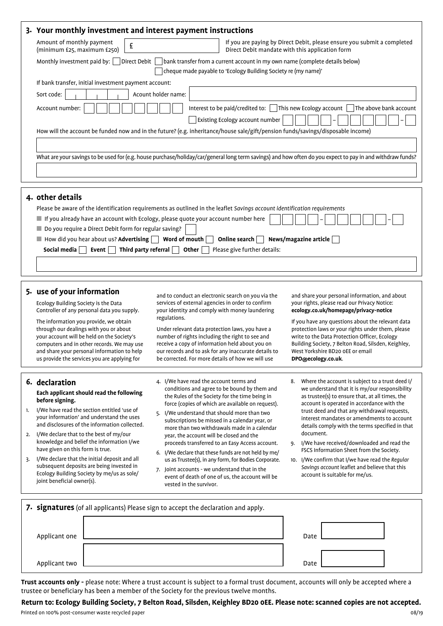|                | 3. Your monthly investment and interest payment instructions                                                                                                                                                                                                                                                                                                                                                                                                                                                                     |                                                                                                                                                                                                                                                                                                                                                                                                                                                                                                                                                                                                                                                                                                    |                                                                                                                                                                                                                                                                                                                                                                                                                                                                                                                                                                                                               |  |  |  |  |  |
|----------------|----------------------------------------------------------------------------------------------------------------------------------------------------------------------------------------------------------------------------------------------------------------------------------------------------------------------------------------------------------------------------------------------------------------------------------------------------------------------------------------------------------------------------------|----------------------------------------------------------------------------------------------------------------------------------------------------------------------------------------------------------------------------------------------------------------------------------------------------------------------------------------------------------------------------------------------------------------------------------------------------------------------------------------------------------------------------------------------------------------------------------------------------------------------------------------------------------------------------------------------------|---------------------------------------------------------------------------------------------------------------------------------------------------------------------------------------------------------------------------------------------------------------------------------------------------------------------------------------------------------------------------------------------------------------------------------------------------------------------------------------------------------------------------------------------------------------------------------------------------------------|--|--|--|--|--|
|                | Amount of monthly payment<br>£<br>(minimum £25, maximum £250)                                                                                                                                                                                                                                                                                                                                                                                                                                                                    |                                                                                                                                                                                                                                                                                                                                                                                                                                                                                                                                                                                                                                                                                                    | If you are paying by Direct Debit, please ensure you submit a completed<br>Direct Debit mandate with this application form                                                                                                                                                                                                                                                                                                                                                                                                                                                                                    |  |  |  |  |  |
|                | Direct Debit<br>Monthly investment paid by:<br>bank transfer from a current account in my own name (complete details below)<br>cheque made payable to 'Ecology Building Society re (my name)'                                                                                                                                                                                                                                                                                                                                    |                                                                                                                                                                                                                                                                                                                                                                                                                                                                                                                                                                                                                                                                                                    |                                                                                                                                                                                                                                                                                                                                                                                                                                                                                                                                                                                                               |  |  |  |  |  |
|                | If bank transfer, initial investment payment account:<br>Acount holder name:<br>Sort code:<br>Interest to be paid/credited to: [<br>This new Ecology account<br>The above bank account<br>Account number:<br>Existing Ecology account number<br>How will the account be funded now and in the future? (e.g. inheritance/house sale/gift/pension funds/savings/disposable income)                                                                                                                                                 |                                                                                                                                                                                                                                                                                                                                                                                                                                                                                                                                                                                                                                                                                                    |                                                                                                                                                                                                                                                                                                                                                                                                                                                                                                                                                                                                               |  |  |  |  |  |
|                | What are your savings to be used for (e.g. house purchase/holiday/car/general long term savings) and how often do you expect to pay in and withdraw funds?                                                                                                                                                                                                                                                                                                                                                                       |                                                                                                                                                                                                                                                                                                                                                                                                                                                                                                                                                                                                                                                                                                    |                                                                                                                                                                                                                                                                                                                                                                                                                                                                                                                                                                                                               |  |  |  |  |  |
|                | 4. other details<br>Do you require a Direct Debit form for regular saving?<br>$\blacksquare$ How did you hear about us? Advertising $\blacksquare$ Word of mouth<br>Event $\Box$<br>Third party referral $\Box$<br>Social media                                                                                                                                                                                                                                                                                                  | Please be aware of the identification requirements as outlined in the leaflet Savings account identification requirements<br>If you already have an account with Ecology, please quote your account number here<br>Online search  <br>Other<br>Please give further details:                                                                                                                                                                                                                                                                                                                                                                                                                        | News/magazine article                                                                                                                                                                                                                                                                                                                                                                                                                                                                                                                                                                                         |  |  |  |  |  |
|                | 5. use of your information<br>Ecology Building Society is the Data<br>Controller of any personal data you supply.<br>The information you provide, we obtain<br>through our dealings with you or about<br>your account will be held on the Society's<br>computers and in other records. We may use<br>and share your personal information to help<br>us provide the services you are applying for                                                                                                                                 | and to conduct an electronic search on you via the<br>services of external agencies in order to confirm<br>your identity and comply with money laundering<br>regulations.<br>Under relevant data protection laws, you have a<br>number of rights including the right to see and<br>receive a copy of information held about you on<br>our records and to ask for any inaccurate details to<br>be corrected. For more details of how we will use                                                                                                                                                                                                                                                    | and share your personal information, and about<br>your rights, please read our Privacy Notice:<br>ecology.co.uk/homepage/privacy-notice<br>If you have any questions about the relevant data<br>protection laws or your rights under them, please<br>write to the Data Protection Officer, Ecology<br>Building Society, 7 Belton Road, Silsden, Keighley,<br>West Yorkshire BD20 OEE or email<br>DPO@ecology.co.uk.                                                                                                                                                                                           |  |  |  |  |  |
| 1.<br>2.<br>3. | 6. declaration<br>Each applicant should read the following<br>before signing.<br>I/We have read the section entitled 'use of<br>your information' and understand the uses<br>and disclosures of the information collected.<br>I/We declare that to the best of my/our<br>knowledge and belief the information I/we<br>have given on this form is true.<br>I/We declare that the initial deposit and all<br>subsequent deposits are being invested in<br>Ecology Building Society by me/us as sole/<br>joint beneficial owner(s). | 4. I/We have read the account terms and<br>conditions and agree to be bound by them and<br>the Rules of the Society for the time being in<br>force (copies of which are available on request).<br>I/We understand that should more than two<br>5.<br>subscriptions be missed in a calendar year, or<br>more than two withdrawals made in a calendar<br>year, the account will be closed and the<br>proceeds transferred to an Easy Access account.<br>6. I/We declare that these funds are not held by me/<br>us as Trustee(s), in any form, for Bodies Corporate.<br>7. Joint accounts - we understand that in the<br>event of death of one of us, the account will be<br>vested in the survivor. | Where the account is subject to a trust deed I/<br>8.<br>we understand that it is my/our responsibility<br>as trustee(s) to ensure that, at all times, the<br>account is operated in accordance with the<br>trust deed and that any withdrawal requests,<br>interest mandates or amendments to account<br>details comply with the terms specified in that<br>document.<br>I/We have received/downloaded and read the<br>9.<br>FSCS Information Sheet from the Society.<br>10. I/We confirm that I/we have read the Regular<br>Savings account leaflet and believe that this<br>account is suitable for me/us. |  |  |  |  |  |
|                | 7. signatures (of all applicants) Please sign to accept the declaration and apply.                                                                                                                                                                                                                                                                                                                                                                                                                                               |                                                                                                                                                                                                                                                                                                                                                                                                                                                                                                                                                                                                                                                                                                    |                                                                                                                                                                                                                                                                                                                                                                                                                                                                                                                                                                                                               |  |  |  |  |  |
|                | Applicant one                                                                                                                                                                                                                                                                                                                                                                                                                                                                                                                    |                                                                                                                                                                                                                                                                                                                                                                                                                                                                                                                                                                                                                                                                                                    | Date                                                                                                                                                                                                                                                                                                                                                                                                                                                                                                                                                                                                          |  |  |  |  |  |
|                | Applicant two                                                                                                                                                                                                                                                                                                                                                                                                                                                                                                                    |                                                                                                                                                                                                                                                                                                                                                                                                                                                                                                                                                                                                                                                                                                    | Date                                                                                                                                                                                                                                                                                                                                                                                                                                                                                                                                                                                                          |  |  |  |  |  |

**Trust accounts only -** please note: Where a trust account is subject to a formal trust document, accounts will only be accepted where a trustee or beneficiary has been a member of the Society for the previous twelve months.

Printed on 100% post-consumer waste recycled paper 08/19 **Return to: Ecology Building Society, 7 Belton Road, Silsden, Keighley BD20 0EE. Please note: scanned copies are not accepted.**